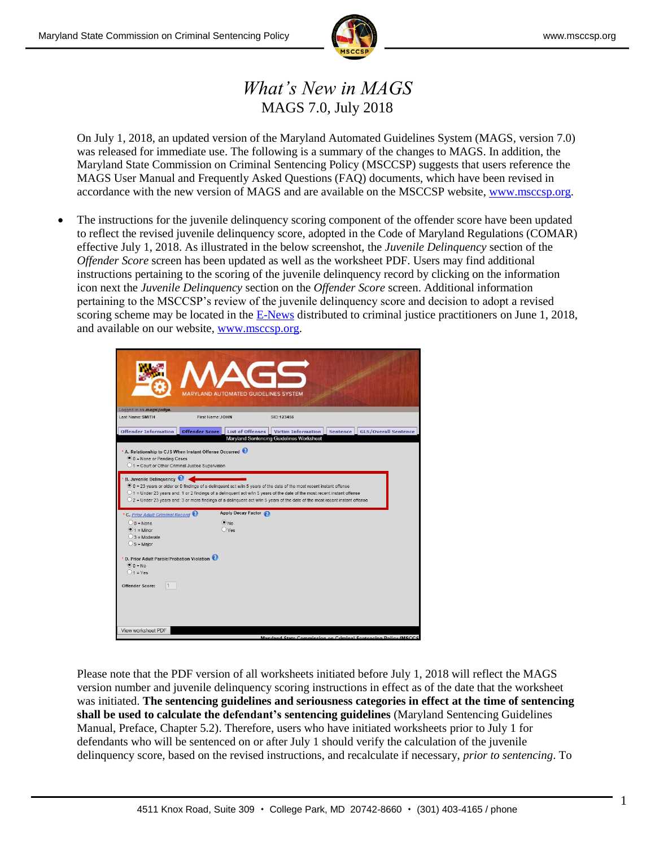

## *What's New in MAGS* MAGS 7.0, July 2018

On July 1, 2018, an updated version of the Maryland Automated Guidelines System (MAGS, version 7.0) was released for immediate use. The following is a summary of the changes to MAGS. In addition, the Maryland State Commission on Criminal Sentencing Policy (MSCCSP) suggests that users reference the MAGS User Manual and Frequently Asked Questions (FAQ) documents, which have been revised in accordance with the new version of MAGS and are available on the MSCCSP website, [www.msccsp.org.](http://www.msccsp.org/)

 The instructions for the juvenile delinquency scoring component of the offender score have been updated to reflect the revised juvenile delinquency score, adopted in the Code of Maryland Regulations (COMAR) effective July 1, 2018. As illustrated in the below screenshot, the *Juvenile Delinquency* section of the *Offender Score* screen has been updated as well as the worksheet PDF. Users may find additional instructions pertaining to the scoring of the juvenile delinquency record by clicking on the information icon next the *Juvenile Delinquency* section on the *Offender Score* screen. Additional information pertaining to the MSCCSP's review of the juvenile delinquency score and decision to adopt a revised scoring scheme may be located in the **E-News** distributed to criminal justice practitioners on June 1, 2018, and available on our website, [www.msccsp.org.](http://www.msccsp.org/)

| Logged in as magsljudge.                                                                                                  |                       | <b>MARYLAND AUTOMATED GUIDELINES SYSTEM</b> |                                                                                                                                                                                                                                                                                                                                                                                    |                 |                             |  |
|---------------------------------------------------------------------------------------------------------------------------|-----------------------|---------------------------------------------|------------------------------------------------------------------------------------------------------------------------------------------------------------------------------------------------------------------------------------------------------------------------------------------------------------------------------------------------------------------------------------|-----------------|-----------------------------|--|
| Last Name: SMITH                                                                                                          | First Name: JOHN      |                                             | SID:123456                                                                                                                                                                                                                                                                                                                                                                         |                 |                             |  |
|                                                                                                                           |                       |                                             |                                                                                                                                                                                                                                                                                                                                                                                    |                 |                             |  |
| <b>Offender Information</b>                                                                                               | <b>Offender Score</b> | <b>List of Offenses</b>                     | <b>Victim Information</b><br>Maryland Sentencing Guidelines Worksheet                                                                                                                                                                                                                                                                                                              | <b>Sentence</b> | <b>GLS/Overall Sentence</b> |  |
| $\bullet$ 0 = None or Pending Cases<br>01 = Court or Other Criminal Justice Supervision<br><b>B. Juvenile Delinquency</b> |                       |                                             | 0 0 = 23 years or older or 0 findings of a delinquent act w/in 5 years of the date of the most recent instant offense<br>O 1 = Under 23 years and: 1 or 2 findings of a delinquent act w/in 5 years of the date of the most recent instant offense<br>O 2 = Under 23 years and: 3 or more findings of a delinquent act w/in 5 years of the date of the most recent instant offense |                 |                             |  |
| * C. Prior Adult Criminal Record                                                                                          |                       | Apply Decay Factor                          |                                                                                                                                                                                                                                                                                                                                                                                    |                 |                             |  |
| $0 = None$                                                                                                                |                       | $\bullet$ No                                |                                                                                                                                                                                                                                                                                                                                                                                    |                 |                             |  |
| $\bullet$ 1 = Minor                                                                                                       |                       | $O$ Yes                                     |                                                                                                                                                                                                                                                                                                                                                                                    |                 |                             |  |
| $3$ = Moderate                                                                                                            |                       |                                             |                                                                                                                                                                                                                                                                                                                                                                                    |                 |                             |  |
| $5 =$ Major                                                                                                               |                       |                                             |                                                                                                                                                                                                                                                                                                                                                                                    |                 |                             |  |
| * D. Prior Adult Parole/Probation Violation<br>$\bullet$ $0 = No$<br>$01 = Yes$                                           |                       |                                             |                                                                                                                                                                                                                                                                                                                                                                                    |                 |                             |  |
| Offender Score:                                                                                                           |                       |                                             |                                                                                                                                                                                                                                                                                                                                                                                    |                 |                             |  |
| View worksheet PDF                                                                                                        |                       |                                             |                                                                                                                                                                                                                                                                                                                                                                                    |                 |                             |  |
|                                                                                                                           |                       |                                             | Mandand State Commission on Criminal Septencing Policy (MSCCS)                                                                                                                                                                                                                                                                                                                     |                 |                             |  |

Please note that the PDF version of all worksheets initiated before July 1, 2018 will reflect the MAGS version number and juvenile delinquency scoring instructions in effect as of the date that the worksheet was initiated. **The sentencing guidelines and seriousness categories in effect at the time of sentencing shall be used to calculate the defendant's sentencing guidelines** (Maryland Sentencing Guidelines Manual, Preface, Chapter 5.2). Therefore, users who have initiated worksheets prior to July 1 for defendants who will be sentenced on or after July 1 should verify the calculation of the juvenile delinquency score, based on the revised instructions, and recalculate if necessary, *prior to sentencing*. To